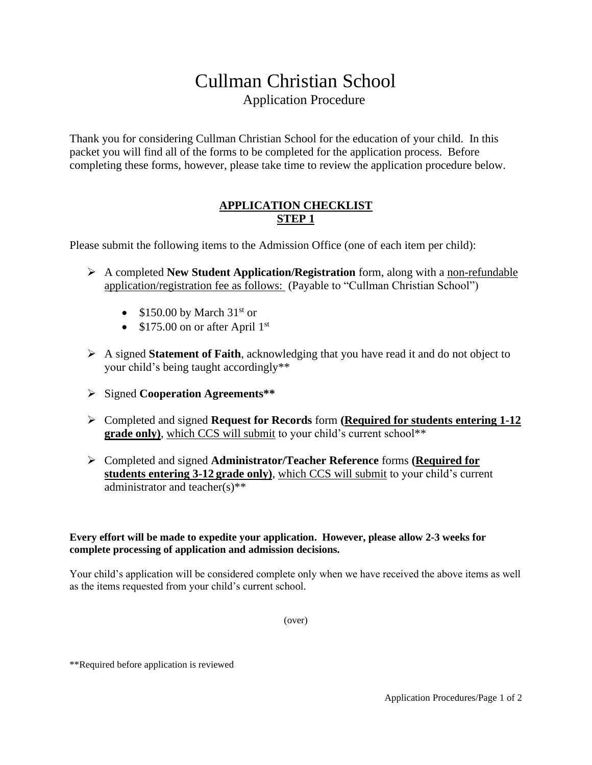# Cullman Christian School Application Procedure

Thank you for considering Cullman Christian School for the education of your child. In this packet you will find all of the forms to be completed for the application process. Before completing these forms, however, please take time to review the application procedure below.

## **APPLICATION CHECKLIST STEP 1**

Please submit the following items to the Admission Office (one of each item per child):

- ➢ A completed **New Student Application/Registration** form, along with a non-refundable application/registration fee as follows: (Payable to "Cullman Christian School")
	- $$150.00$  by March  $31<sup>st</sup>$  or
	- $$175.00$  on or after April 1st
- ➢ A signed **Statement of Faith**, acknowledging that you have read it and do not object to your child's being taught accordingly\*\*
- ➢ Signed **Cooperation Agreements\*\***
- ➢ Completed and signed **Request for Records** form **(Required for students entering 1-12 grade only**), which CCS will submit to your child's current school\*\*
- ➢ Completed and signed **Administrator/Teacher Reference** forms **(Required for students entering 3-12 grade only)**, which CCS will submit to your child's current administrator and teacher(s)\*\*

## **Every effort will be made to expedite your application. However, please allow 2-3 weeks for complete processing of application and admission decisions.**

Your child's application will be considered complete only when we have received the above items as well as the items requested from your child's current school.

(over)

\*\*Required before application is reviewed

Application Procedures/Page 1 of 2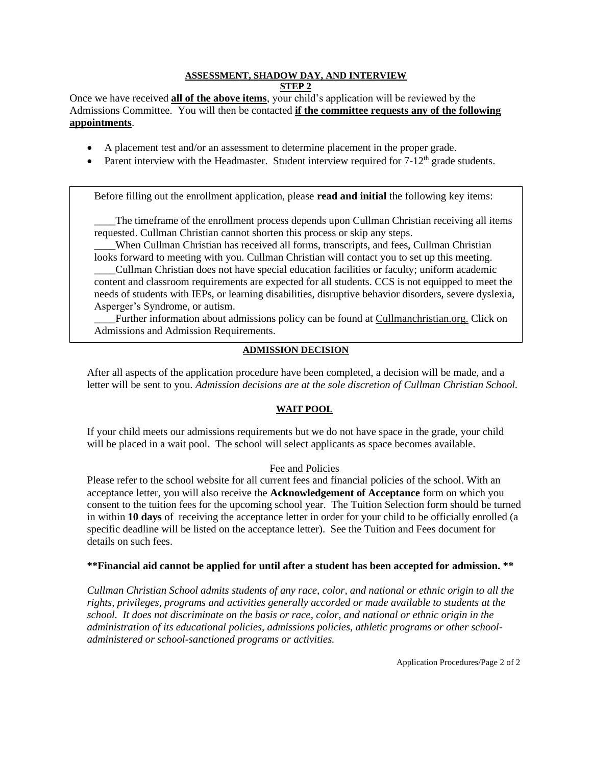## **ASSESSMENT, SHADOW DAY, AND INTERVIEW**

**STEP 2**

Once we have received **all of the above items**, your child's application will be reviewed by the Admissions Committee. You will then be contacted **if the committee requests any of the following appointments**.

- A placement test and/or an assessment to determine placement in the proper grade.
- Parent interview with the Headmaster. Student interview required for  $7-12<sup>th</sup>$  grade students.

Before filling out the enrollment application, please **read and initial** the following key items:

The timeframe of the enrollment process depends upon Cullman Christian receiving all items requested. Cullman Christian cannot shorten this process or skip any steps.

\_\_\_\_When Cullman Christian has received all forms, transcripts, and fees, Cullman Christian looks forward to meeting with you. Cullman Christian will contact you to set up this meeting.

\_\_\_\_Cullman Christian does not have special education facilities or faculty; uniform academic content and classroom requirements are expected for all students. CCS is not equipped to meet the needs of students with IEPs, or learning disabilities, disruptive behavior disorders, severe dyslexia, Asperger's Syndrome, or autism.

Further information about admissions policy can be found at Cullmanchristian.org. Click on Admissions and Admission Requirements.

## **ADMISSION DECISION**

After all aspects of the application procedure have been completed, a decision will be made, and a letter will be sent to you. *Admission decisions are at the sole discretion of Cullman Christian School.*

## **WAIT POOL**

If your child meets our admissions requirements but we do not have space in the grade, your child will be placed in a wait pool. The school will select applicants as space becomes available.

## Fee and Policies

Please refer to the school website for all current fees and financial policies of the school. With an acceptance letter, you will also receive the **Acknowledgement of Acceptance** form on which you consent to the tuition fees for the upcoming school year. The Tuition Selection form should be turned in within **10 days** of receiving the acceptance letter in order for your child to be officially enrolled (a specific deadline will be listed on the acceptance letter). See the Tuition and Fees document for details on such fees.

## **\*\*Financial aid cannot be applied for until after a student has been accepted for admission. \*\***

*Cullman Christian School admits students of any race, color, and national or ethnic origin to all the rights, privileges, programs and activities generally accorded or made available to students at the school. It does not discriminate on the basis or race, color, and national or ethnic origin in the administration of its educational policies, admissions policies, athletic programs or other schooladministered or school-sanctioned programs or activities.*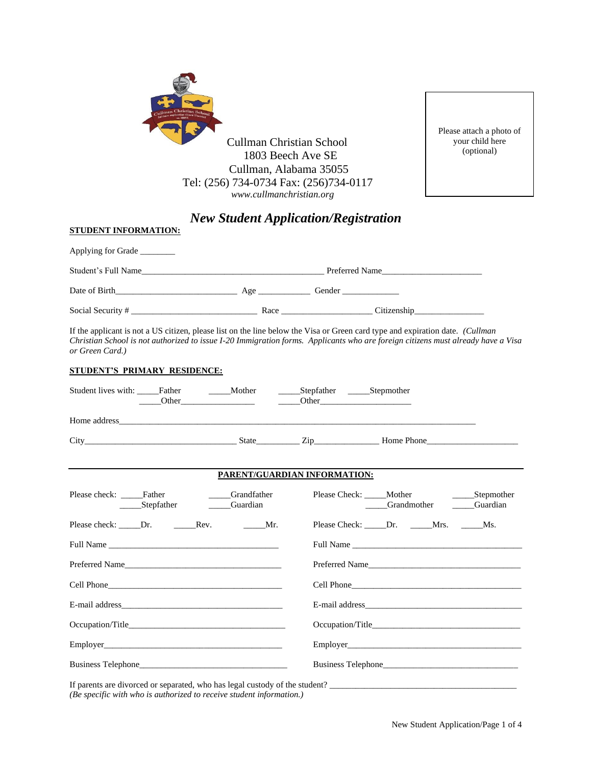

Please attach a photo of your child here (optional)

## *New Student Application/Registration*

| Applying for Grade _______ |        |                                                                                                                                                                                                                                               |  |
|----------------------------|--------|-----------------------------------------------------------------------------------------------------------------------------------------------------------------------------------------------------------------------------------------------|--|
| Student's Full Name        |        | Preferred Name                                                                                                                                                                                                                                |  |
|                            | $A$ ge | Gender                                                                                                                                                                                                                                        |  |
|                            |        | Citizenship<br>Race and the state of the state of the state of the state of the state of the state of the state of the state of the state of the state of the state of the state of the state of the state of the state of the state of the s |  |

If the applicant is not a US citizen, please list on the line below the Visa or Green card type and expiration date. *(Cullman Christian School is not authorized to issue I-20 Immigration forms. Applicants who are foreign citizens must already have a Visa or Green Card.)*

#### **STUDENT'S PRIMARY RESIDENCE:**

**STUDENT INFORMATION:**

|                                       | Student lives with: _____Father ________Mother _______Stepfather ______Stepmother<br>Other Other Changes and Other Changes and Other Changes and Other Changes and Other Changes and Other Changes and Other Changes and Other Changes and Other Changes and Other Changes and Other Changes and Other Changes and |                              |                                              |  |
|---------------------------------------|--------------------------------------------------------------------------------------------------------------------------------------------------------------------------------------------------------------------------------------------------------------------------------------------------------------------|------------------------------|----------------------------------------------|--|
|                                       |                                                                                                                                                                                                                                                                                                                    |                              |                                              |  |
|                                       |                                                                                                                                                                                                                                                                                                                    |                              |                                              |  |
|                                       |                                                                                                                                                                                                                                                                                                                    | PARENT/GUARDIAN INFORMATION: |                                              |  |
| Please check: Father                  | ____Grandfather<br>________Stepfather ____________Guardian                                                                                                                                                                                                                                                         |                              | _____Grandmother _______Guardian             |  |
|                                       |                                                                                                                                                                                                                                                                                                                    |                              | Please Check: ______Dr. ______Mrs. ______Ms. |  |
| Full Name                             |                                                                                                                                                                                                                                                                                                                    |                              | Full Name                                    |  |
|                                       |                                                                                                                                                                                                                                                                                                                    |                              | Preferred Name                               |  |
|                                       |                                                                                                                                                                                                                                                                                                                    |                              |                                              |  |
|                                       |                                                                                                                                                                                                                                                                                                                    |                              |                                              |  |
| Occupation/Title <b>Exercise 2018</b> |                                                                                                                                                                                                                                                                                                                    |                              |                                              |  |
|                                       |                                                                                                                                                                                                                                                                                                                    |                              | Employer                                     |  |
| <b>Business Telephone</b>             |                                                                                                                                                                                                                                                                                                                    |                              | Business Telephone                           |  |
|                                       |                                                                                                                                                                                                                                                                                                                    |                              |                                              |  |

*(Be specific with who is authorized to receive student information.)*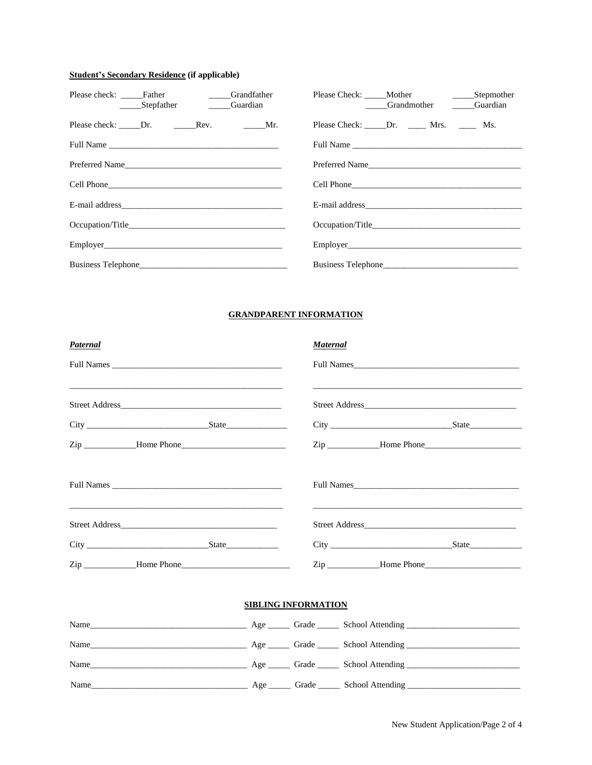#### **Student's Secondary Residence (if applicable)**

| Please check: ______Father ____________Grandfather<br>Stepfather Guardian |  | Please Check: _____Mother _______________________Stepmother<br>Grandmother Cuardian |  |
|---------------------------------------------------------------------------|--|-------------------------------------------------------------------------------------|--|
|                                                                           |  | Please Check: ______ Dr. _______ Mrs. _______ Ms.                                   |  |
|                                                                           |  |                                                                                     |  |
|                                                                           |  |                                                                                     |  |
|                                                                           |  |                                                                                     |  |
|                                                                           |  |                                                                                     |  |
|                                                                           |  |                                                                                     |  |
|                                                                           |  |                                                                                     |  |
|                                                                           |  |                                                                                     |  |

#### **GRANDPARENT INFORMATION**

| Paternal |                            | <b>Maternal</b> |                                                             |
|----------|----------------------------|-----------------|-------------------------------------------------------------|
|          |                            |                 |                                                             |
|          |                            |                 | <u> 1989 - Johann Stoff, amerikansk politiker (d. 1989)</u> |
|          |                            |                 |                                                             |
|          |                            |                 |                                                             |
|          |                            |                 |                                                             |
|          |                            |                 |                                                             |
|          |                            |                 | City State                                                  |
|          |                            |                 |                                                             |
|          | <b>SIBLING INFORMATION</b> |                 |                                                             |
|          |                            |                 |                                                             |
|          |                            |                 |                                                             |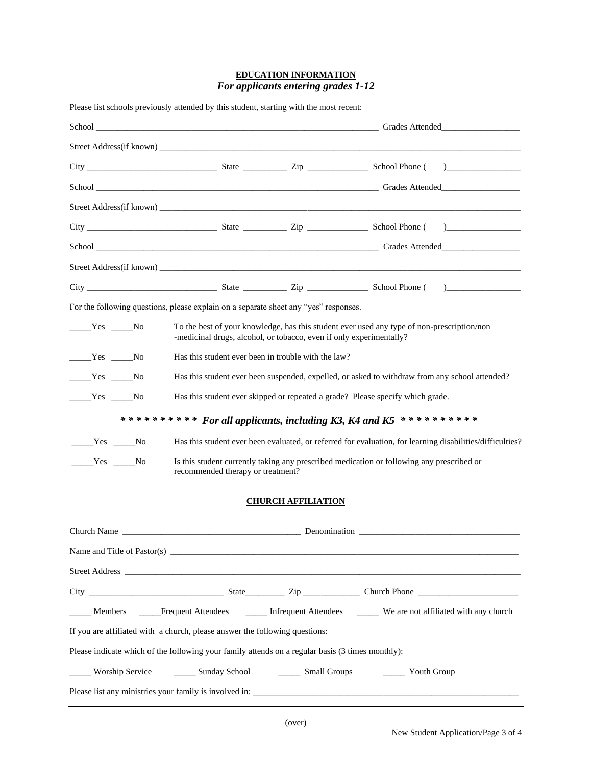### **EDUCATION INFORMATION** *For applicants entering grades 1-12*

| Please list schools previously attended by this student, starting with the most recent:                                                                                                                                                                                                                                                    |                                                                     |                           |                                                                                                           |  |
|--------------------------------------------------------------------------------------------------------------------------------------------------------------------------------------------------------------------------------------------------------------------------------------------------------------------------------------------|---------------------------------------------------------------------|---------------------------|-----------------------------------------------------------------------------------------------------------|--|
|                                                                                                                                                                                                                                                                                                                                            |                                                                     |                           |                                                                                                           |  |
|                                                                                                                                                                                                                                                                                                                                            |                                                                     |                           |                                                                                                           |  |
| $City$ State $\frac{1}{\sqrt{2\pi}}$ State $\frac{1}{\sqrt{2\pi}}$ School Phone ( $\frac{1}{\sqrt{2\pi}}$ )                                                                                                                                                                                                                                |                                                                     |                           |                                                                                                           |  |
|                                                                                                                                                                                                                                                                                                                                            |                                                                     |                           |                                                                                                           |  |
|                                                                                                                                                                                                                                                                                                                                            |                                                                     |                           |                                                                                                           |  |
|                                                                                                                                                                                                                                                                                                                                            |                                                                     |                           |                                                                                                           |  |
|                                                                                                                                                                                                                                                                                                                                            |                                                                     |                           |                                                                                                           |  |
|                                                                                                                                                                                                                                                                                                                                            |                                                                     |                           |                                                                                                           |  |
|                                                                                                                                                                                                                                                                                                                                            |                                                                     |                           |                                                                                                           |  |
| For the following questions, please explain on a separate sheet any "yes" responses.                                                                                                                                                                                                                                                       |                                                                     |                           |                                                                                                           |  |
| $Yes$ No                                                                                                                                                                                                                                                                                                                                   | -medicinal drugs, alcohol, or tobacco, even if only experimentally? |                           | To the best of your knowledge, has this student ever used any type of non-prescription/non                |  |
| $Yes$ No                                                                                                                                                                                                                                                                                                                                   | Has this student ever been in trouble with the law?                 |                           |                                                                                                           |  |
| $Yes$ No                                                                                                                                                                                                                                                                                                                                   |                                                                     |                           | Has this student ever been suspended, expelled, or asked to withdraw from any school attended?            |  |
| $Yes$ No                                                                                                                                                                                                                                                                                                                                   |                                                                     |                           | Has this student ever skipped or repeated a grade? Please specify which grade.                            |  |
|                                                                                                                                                                                                                                                                                                                                            |                                                                     |                           | *********** For all applicants, including K3, K4 and K5 ***********                                       |  |
| $\rule{1em}{0.15mm}$ $\qquad$ $\qquad$ $\qquad$ $\qquad$ $\qquad$ $\qquad$ $\qquad$ $\qquad$ $\qquad$ $\qquad$ $\qquad$ $\qquad$ $\qquad$ $\qquad$ $\qquad$ $\qquad$ $\qquad$ $\qquad$ $\qquad$ $\qquad$ $\qquad$ $\qquad$ $\qquad$ $\qquad$ $\qquad$ $\qquad$ $\qquad$ $\qquad$ $\qquad$ $\qquad$ $\qquad$ $\qquad$ $\qquad$ $\qquad$ $\$ |                                                                     |                           | Has this student ever been evaluated, or referred for evaluation, for learning disabilities/difficulties? |  |
| $Yes$ No                                                                                                                                                                                                                                                                                                                                   | recommended therapy or treatment?                                   |                           | Is this student currently taking any prescribed medication or following any prescribed or                 |  |
|                                                                                                                                                                                                                                                                                                                                            |                                                                     | <b>CHURCH AFFILIATION</b> |                                                                                                           |  |
| Church Name                                                                                                                                                                                                                                                                                                                                |                                                                     | Denomination              |                                                                                                           |  |
|                                                                                                                                                                                                                                                                                                                                            |                                                                     |                           |                                                                                                           |  |
|                                                                                                                                                                                                                                                                                                                                            |                                                                     |                           |                                                                                                           |  |
|                                                                                                                                                                                                                                                                                                                                            |                                                                     |                           |                                                                                                           |  |
| Members _____Frequent Attendees _________ Infrequent Attendees ________ We are not affiliated with any church                                                                                                                                                                                                                              |                                                                     |                           |                                                                                                           |  |
| If you are affiliated with a church, please answer the following questions:                                                                                                                                                                                                                                                                |                                                                     |                           |                                                                                                           |  |
| Please indicate which of the following your family attends on a regular basis (3 times monthly):                                                                                                                                                                                                                                           |                                                                     |                           |                                                                                                           |  |
| Worship Service _________ Sunday School _________ Small Groups                                                                                                                                                                                                                                                                             |                                                                     |                           | <b>Example 1</b> Youth Group                                                                              |  |
|                                                                                                                                                                                                                                                                                                                                            |                                                                     |                           |                                                                                                           |  |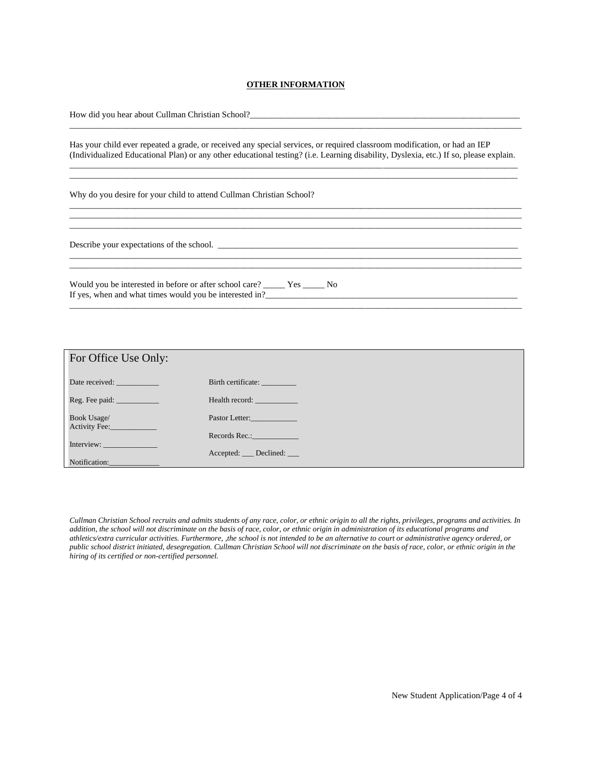#### **OTHER INFORMATION**

| How did you hear about Cullman Christian School?                                                                                                                                                                                                                                                        |
|---------------------------------------------------------------------------------------------------------------------------------------------------------------------------------------------------------------------------------------------------------------------------------------------------------|
| Has your child ever repeated a grade, or received any special services, or required classroom modification, or had an IEP<br>(Individualized Educational Plan) or any other educational testing? (i.e. Learning disability, Dyslexia, etc.) If so, please explain.                                      |
| Why do you desire for your child to attend Cullman Christian School?                                                                                                                                                                                                                                    |
| Describe your expectations of the school.                                                                                                                                                                                                                                                               |
| Would you be interested in before or after school care? No No<br>If yes, when and what times would you be interested in?<br><u>Letting and the set of the set of the set of the set of the set of the set of the set of the set of the set of the set of the set of the set of the set of the set o</u> |
|                                                                                                                                                                                                                                                                                                         |

| For Office Use Only:                                                                                                                                                                                                           |                     |
|--------------------------------------------------------------------------------------------------------------------------------------------------------------------------------------------------------------------------------|---------------------|
| Date received:                                                                                                                                                                                                                 | Birth certificate:  |
| Reg. Fee paid: ____________                                                                                                                                                                                                    | Health record:      |
| Book Usage/<br>Activity Fee:                                                                                                                                                                                                   | Pastor Letter:      |
|                                                                                                                                                                                                                                | Records Rec.:       |
| Interview: and the state of the state of the state of the state of the state of the state of the state of the state of the state of the state of the state of the state of the state of the state of the state of the state of | Accepted: Declined: |
| Notification:                                                                                                                                                                                                                  |                     |

*Cullman Christian School recruits and admits students of any race, color, or ethnic origin to all the rights, privileges, programs and activities. In addition, the school will not discriminate on the basis of race, color, or ethnic origin in administration of its educational programs and athletics/extra curricular activities. Furthermore, ,the school is not intended to be an alternative to court or administrative agency ordered, or public school district initiated, desegregation. Cullman Christian School will not discriminate on the basis of race, color, or ethnic origin in the hiring of its certified or non-certified personnel.*

New Student Application/Page 4 of 4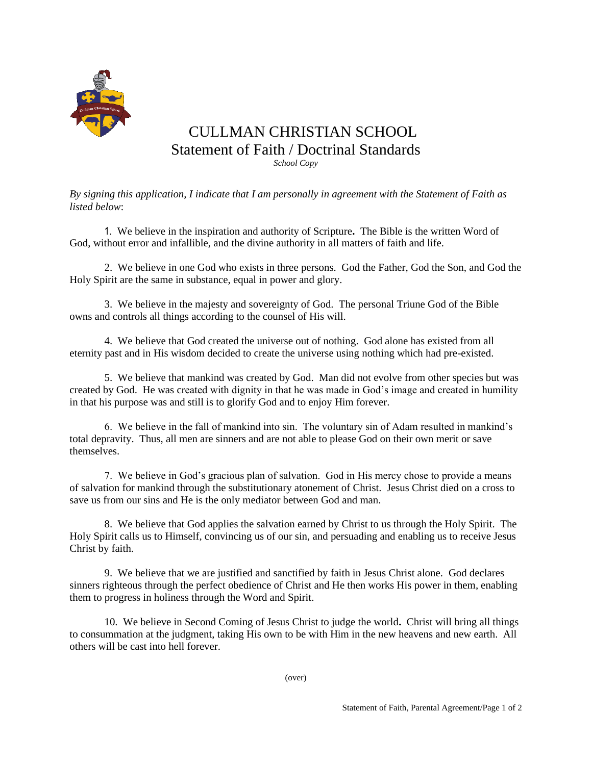

## CULLMAN CHRISTIAN SCHOOL Statement of Faith / Doctrinal Standards *School Copy*

*By signing this application, I indicate that I am personally in agreement with the Statement of Faith as listed below*:

1. We believe in the inspiration and authority of Scripture**.** The Bible is the written Word of God, without error and infallible, and the divine authority in all matters of faith and life.

2. We believe in one God who exists in three persons. God the Father, God the Son, and God the Holy Spirit are the same in substance, equal in power and glory.

3. We believe in the majesty and sovereignty of God. The personal Triune God of the Bible owns and controls all things according to the counsel of His will.

4. We believe that God created the universe out of nothing. God alone has existed from all eternity past and in His wisdom decided to create the universe using nothing which had pre-existed.

5. We believe that mankind was created by God. Man did not evolve from other species but was created by God. He was created with dignity in that he was made in God's image and created in humility in that his purpose was and still is to glorify God and to enjoy Him forever.

6. We believe in the fall of mankind into sin. The voluntary sin of Adam resulted in mankind's total depravity. Thus, all men are sinners and are not able to please God on their own merit or save themselves.

7. We believe in God's gracious plan of salvation. God in His mercy chose to provide a means of salvation for mankind through the substitutionary atonement of Christ. Jesus Christ died on a cross to save us from our sins and He is the only mediator between God and man.

8. We believe that God applies the salvation earned by Christ to us through the Holy Spirit. The Holy Spirit calls us to Himself, convincing us of our sin, and persuading and enabling us to receive Jesus Christ by faith.

9. We believe that we are justified and sanctified by faith in Jesus Christ alone.God declares sinners righteous through the perfect obedience of Christ and He then works His power in them, enabling them to progress in holiness through the Word and Spirit.

10. We believe in Second Coming of Jesus Christ to judge the world**.** Christ will bring all things to consummation at the judgment, taking His own to be with Him in the new heavens and new earth. All others will be cast into hell forever.

(over)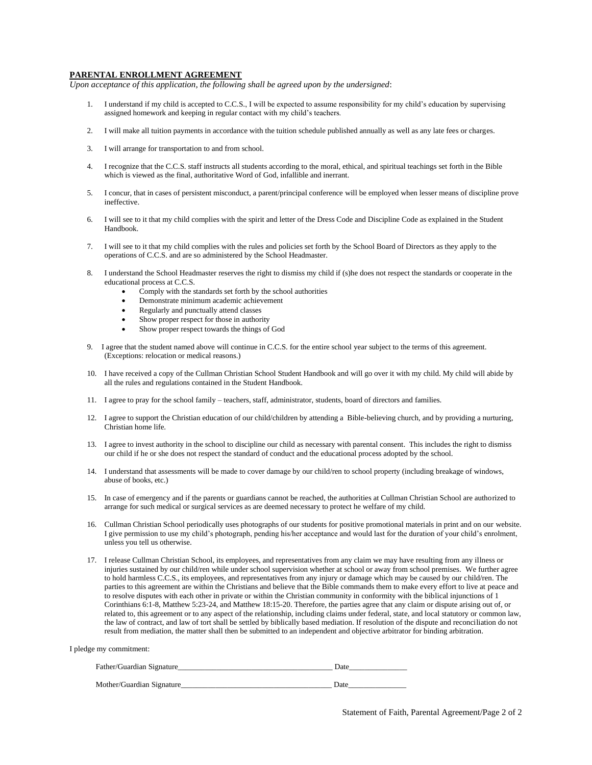#### **PARENTAL ENROLLMENT AGREEMENT**

*Upon acceptance of this application, the following shall be agreed upon by the undersigned*:

- 1. I understand if my child is accepted to C.C.S., I will be expected to assume responsibility for my child's education by supervising assigned homework and keeping in regular contact with my child's teachers.
- 2. I will make all tuition payments in accordance with the tuition schedule published annually as well as any late fees or charges.
- 3. I will arrange for transportation to and from school.
- 4. I recognize that the C.C.S. staff instructs all students according to the moral, ethical, and spiritual teachings set forth in the Bible which is viewed as the final, authoritative Word of God, infallible and inerrant.
- 5. I concur, that in cases of persistent misconduct, a parent/principal conference will be employed when lesser means of discipline prove ineffective.
- 6. I will see to it that my child complies with the spirit and letter of the Dress Code and Discipline Code as explained in the Student Handbook.
- 7. I will see to it that my child complies with the rules and policies set forth by the School Board of Directors as they apply to the operations of C.C.S. and are so administered by the School Headmaster.
- 8. I understand the School Headmaster reserves the right to dismiss my child if (s)he does not respect the standards or cooperate in the educational process at C.C.S.
	- Comply with the standards set forth by the school authorities
	- Demonstrate minimum academic achievement
	- Regularly and punctually attend classes
	- Show proper respect for those in authority
	- Show proper respect towards the things of God
- 9. I agree that the student named above will continue in C.C.S. for the entire school year subject to the terms of this agreement. (Exceptions: relocation or medical reasons.)
- 10. I have received a copy of the Cullman Christian School Student Handbook and will go over it with my child. My child will abide by all the rules and regulations contained in the Student Handbook.
- 11. I agree to pray for the school family teachers, staff, administrator, students, board of directors and families.
- 12. I agree to support the Christian education of our child/children by attending a Bible-believing church, and by providing a nurturing, Christian home life.
- 13. I agree to invest authority in the school to discipline our child as necessary with parental consent. This includes the right to dismiss our child if he or she does not respect the standard of conduct and the educational process adopted by the school.
- 14. I understand that assessments will be made to cover damage by our child/ren to school property (including breakage of windows, abuse of books, etc.)
- 15. In case of emergency and if the parents or guardians cannot be reached, the authorities at Cullman Christian School are authorized to arrange for such medical or surgical services as are deemed necessary to protect he welfare of my child.
- 16. Cullman Christian School periodically uses photographs of our students for positive promotional materials in print and on our website. I give permission to use my child's photograph, pending his/her acceptance and would last for the duration of your child's enrolment, unless you tell us otherwise.
- 17. I release Cullman Christian School, its employees, and representatives from any claim we may have resulting from any illness or injuries sustained by our child/ren while under school supervision whether at school or away from school premises. We further agree to hold harmless C.C.S., its employees, and representatives from any injury or damage which may be caused by our child/ren. The parties to this agreement are within the Christians and believe that the Bible commands them to make every effort to live at peace and to resolve disputes with each other in private or within the Christian community in conformity with the biblical injunctions of 1 Corinthians 6:1-8, Matthew 5:23-24, and Matthew 18:15-20. Therefore, the parties agree that any claim or dispute arising out of, or related to, this agreement or to any aspect of the relationship, including claims under federal, state, and local statutory or common law, the law of contract, and law of tort shall be settled by biblically based mediation. If resolution of the dispute and reconciliation do not result from mediation, the matter shall then be submitted to an independent and objective arbitrator for binding arbitration.

|  | I pledge my commitment: |
|--|-------------------------|
|--|-------------------------|

| Father/Guardian Signature | Date |
|---------------------------|------|
| Mother/Guardian Signature | Date |
|                           |      |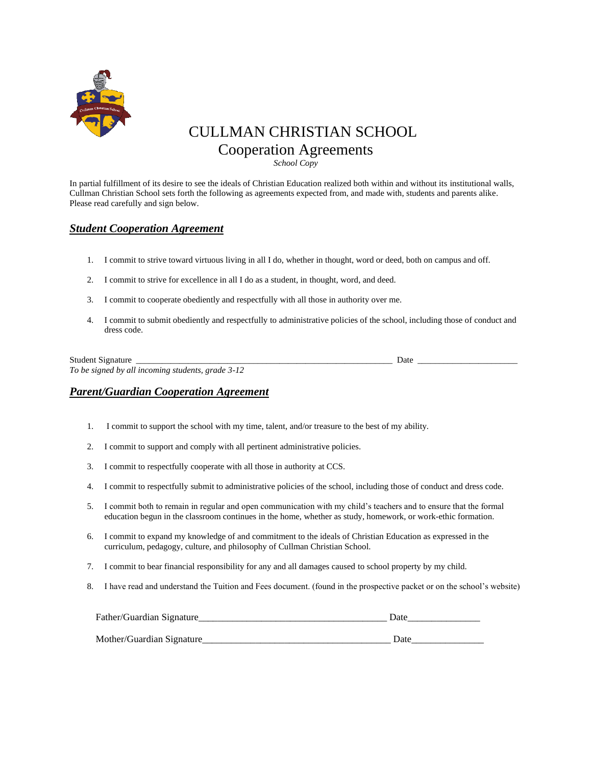

## CULLMAN CHRISTIAN SCHOOL Cooperation Agreements

*School Copy*

In partial fulfillment of its desire to see the ideals of Christian Education realized both within and without its institutional walls, Cullman Christian School sets forth the following as agreements expected from, and made with, students and parents alike. Please read carefully and sign below.

## *Student Cooperation Agreement*

- 1. I commit to strive toward virtuous living in all I do, whether in thought, word or deed, both on campus and off.
- 2. I commit to strive for excellence in all I do as a student, in thought, word, and deed.
- 3. I commit to cooperate obediently and respectfully with all those in authority over me.
- 4. I commit to submit obediently and respectfully to administrative policies of the school, including those of conduct and dress code.

| <b>Student Signature</b>                          | Date |
|---------------------------------------------------|------|
| To be signed by all incoming students, grade 3-12 |      |

### *Parent/Guardian Cooperation Agreement*

- 1. I commit to support the school with my time, talent, and/or treasure to the best of my ability.
- 2. I commit to support and comply with all pertinent administrative policies.
- 3. I commit to respectfully cooperate with all those in authority at CCS.
- 4. I commit to respectfully submit to administrative policies of the school, including those of conduct and dress code.
- 5. I commit both to remain in regular and open communication with my child's teachers and to ensure that the formal education begun in the classroom continues in the home, whether as study, homework, or work-ethic formation.
- 6. I commit to expand my knowledge of and commitment to the ideals of Christian Education as expressed in the curriculum, pedagogy, culture, and philosophy of Cullman Christian School.
- 7. I commit to bear financial responsibility for any and all damages caused to school property by my child.
- 8. I have read and understand the Tuition and Fees document. (found in the prospective packet or on the school's website)

| Father/Guardian Signature | ')ate        |
|---------------------------|--------------|
|                           |              |
| Mother/Guardian Signature | <b>D</b> ate |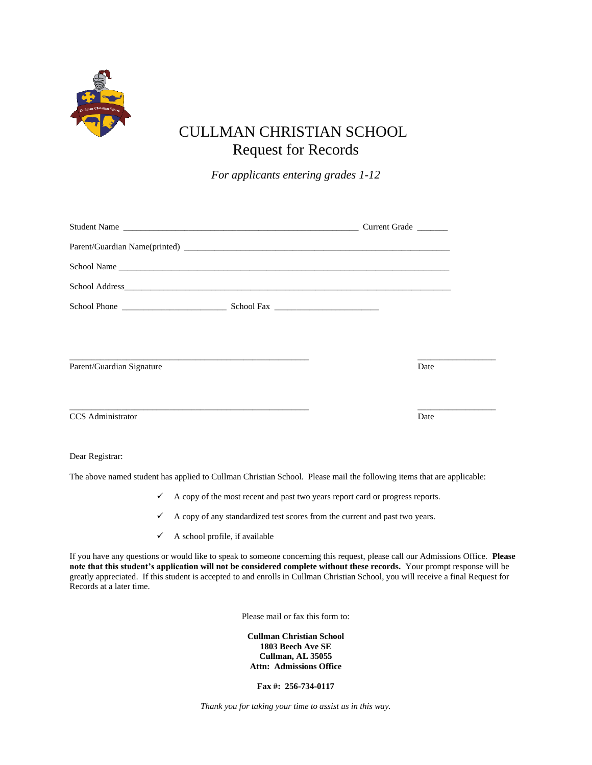

# CULLMAN CHRISTIAN SCHOOL Request for Records

*For applicants entering grades 1-12*

| Parent/Guardian Signature                                                                                             |  | Date |
|-----------------------------------------------------------------------------------------------------------------------|--|------|
|                                                                                                                       |  |      |
|                                                                                                                       |  |      |
| CCS Administrator                                                                                                     |  | Date |
|                                                                                                                       |  |      |
| Dear Registrar:                                                                                                       |  |      |
| The above named student has applied to Cullman Christian School. Please mail the following items that are applicable: |  |      |

- $\checkmark$  A copy of the most recent and past two years report card or progress reports.
- ✓ A copy of any standardized test scores from the current and past two years.
- $\checkmark$  A school profile, if available

If you have any questions or would like to speak to someone concerning this request, please call our Admissions Office. **Please note that this student's application will not be considered complete without these records.** Your prompt response will be greatly appreciated. If this student is accepted to and enrolls in Cullman Christian School, you will receive a final Request for Records at a later time.

Please mail or fax this form to:

**Cullman Christian School 1803 Beech Ave SE Cullman, AL 35055 Attn: Admissions Office**

**Fax #: 256-734-0117**

*Thank you for taking your time to assist us in this way.*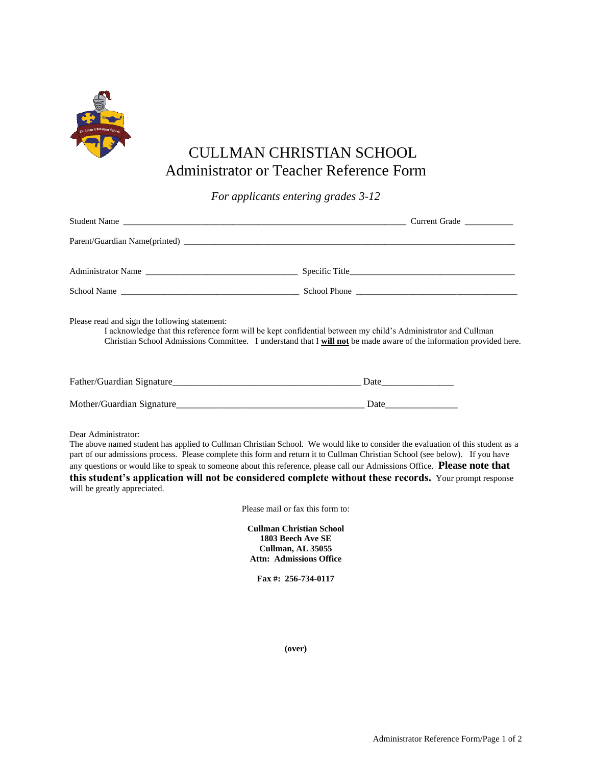

# CULLMAN CHRISTIAN SCHOOL Administrator or Teacher Reference Form

*For applicants entering grades 3-12*

| Please read and sign the following statement:                                                                                                                                                                                                                                                                                                                                                                                                                                                                                                                | I acknowledge that this reference form will be kept confidential between my child's Administrator and Cullman<br>Christian School Admissions Committee. I understand that I will not be made aware of the information provided here. |
|--------------------------------------------------------------------------------------------------------------------------------------------------------------------------------------------------------------------------------------------------------------------------------------------------------------------------------------------------------------------------------------------------------------------------------------------------------------------------------------------------------------------------------------------------------------|--------------------------------------------------------------------------------------------------------------------------------------------------------------------------------------------------------------------------------------|
|                                                                                                                                                                                                                                                                                                                                                                                                                                                                                                                                                              |                                                                                                                                                                                                                                      |
|                                                                                                                                                                                                                                                                                                                                                                                                                                                                                                                                                              |                                                                                                                                                                                                                                      |
| Dear Administrator:<br>The above named student has applied to Cullman Christian School. We would like to consider the evaluation of this student as a<br>part of our admissions process. Please complete this form and return it to Cullman Christian School (see below). If you have<br>any questions or would like to speak to someone about this reference, please call our Admissions Office. Please note that<br>this student's application will not be considered complete without these records. Your prompt response<br>will be greatly appreciated. |                                                                                                                                                                                                                                      |
| Please mail or fax this form to:                                                                                                                                                                                                                                                                                                                                                                                                                                                                                                                             |                                                                                                                                                                                                                                      |
| <b>Cullman Christian School</b><br>1803 Beech Ave SE<br>Cullman, AL 35055<br><b>Attn: Admissions Office</b><br>Fax #: 256-734-0117                                                                                                                                                                                                                                                                                                                                                                                                                           |                                                                                                                                                                                                                                      |

**(over)**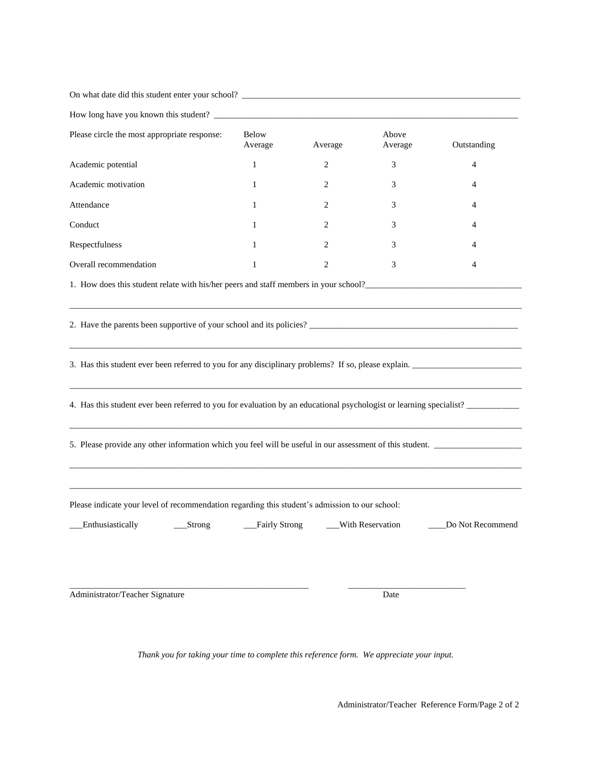| On what date did this student enter your school? ________________________________                                                                                                                                                                                                                                                      |                         |         |                    |                  |
|----------------------------------------------------------------------------------------------------------------------------------------------------------------------------------------------------------------------------------------------------------------------------------------------------------------------------------------|-------------------------|---------|--------------------|------------------|
|                                                                                                                                                                                                                                                                                                                                        |                         |         |                    |                  |
| Please circle the most appropriate response:                                                                                                                                                                                                                                                                                           | <b>Below</b><br>Average | Average | Above<br>Average   | Outstanding      |
| Academic potential                                                                                                                                                                                                                                                                                                                     | $\mathbf{1}$            | 2       | 3                  | 4                |
| Academic motivation                                                                                                                                                                                                                                                                                                                    | 1                       | 2       | 3                  | 4                |
| Attendance                                                                                                                                                                                                                                                                                                                             | 1                       | 2       | 3                  | 4                |
| Conduct                                                                                                                                                                                                                                                                                                                                | 1                       | 2       | 3                  | 4                |
| Respectfulness                                                                                                                                                                                                                                                                                                                         | 1                       | 2       | 3                  | 4                |
| Overall recommendation                                                                                                                                                                                                                                                                                                                 | $\mathbf{1}$            | 2       | 3                  | 4                |
| 1. How does this student relate with his/her peers and staff members in your school?                                                                                                                                                                                                                                                   |                         |         |                    |                  |
| 3. Has this student ever been referred to you for any disciplinary problems? If so, please explain.<br>4. Has this student ever been referred to you for evaluation by an educational psychologist or learning specialist?<br>5. Please provide any other information which you feel will be useful in our assessment of this student. |                         |         |                    |                  |
|                                                                                                                                                                                                                                                                                                                                        |                         |         |                    |                  |
| Please indicate your level of recommendation regarding this student's admission to our school:<br>Enthusiastically<br>$_{\text{Strong}}$                                                                                                                                                                                               | __Fairly Strong         |         | __With Reservation | Do Not Recommend |
| Administrator/Teacher Signature                                                                                                                                                                                                                                                                                                        |                         |         | Date               |                  |

*Thank you for taking your time to complete this reference form. We appreciate your input.*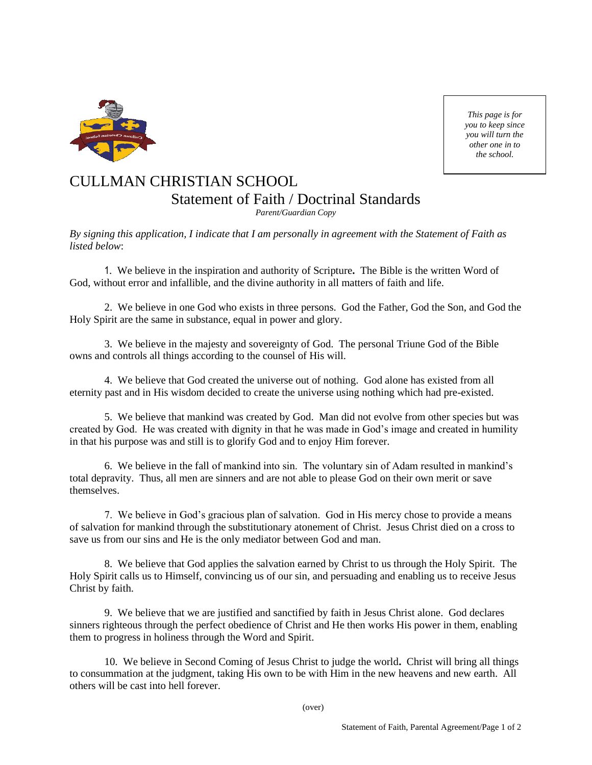

*This page is for you to keep since you will turn the other one in to the school.*

# CULLMAN CHRISTIAN SCHOOL Statement of Faith / Doctrinal Standards

*Parent/Guardian Copy*

*By signing this application, I indicate that I am personally in agreement with the Statement of Faith as listed below*:

1. We believe in the inspiration and authority of Scripture**.** The Bible is the written Word of God, without error and infallible, and the divine authority in all matters of faith and life.

2. We believe in one God who exists in three persons. God the Father, God the Son, and God the Holy Spirit are the same in substance, equal in power and glory.

3. We believe in the majesty and sovereignty of God. The personal Triune God of the Bible owns and controls all things according to the counsel of His will.

4. We believe that God created the universe out of nothing. God alone has existed from all eternity past and in His wisdom decided to create the universe using nothing which had pre-existed.

5. We believe that mankind was created by God. Man did not evolve from other species but was created by God. He was created with dignity in that he was made in God's image and created in humility in that his purpose was and still is to glorify God and to enjoy Him forever.

6. We believe in the fall of mankind into sin. The voluntary sin of Adam resulted in mankind's total depravity. Thus, all men are sinners and are not able to please God on their own merit or save themselves.

7. We believe in God's gracious plan of salvation. God in His mercy chose to provide a means of salvation for mankind through the substitutionary atonement of Christ. Jesus Christ died on a cross to save us from our sins and He is the only mediator between God and man.

8. We believe that God applies the salvation earned by Christ to us through the Holy Spirit. The Holy Spirit calls us to Himself, convincing us of our sin, and persuading and enabling us to receive Jesus Christ by faith.

9. We believe that we are justified and sanctified by faith in Jesus Christ alone.God declares sinners righteous through the perfect obedience of Christ and He then works His power in them, enabling them to progress in holiness through the Word and Spirit.

10. We believe in Second Coming of Jesus Christ to judge the world**.** Christ will bring all things to consummation at the judgment, taking His own to be with Him in the new heavens and new earth. All others will be cast into hell forever.

(over)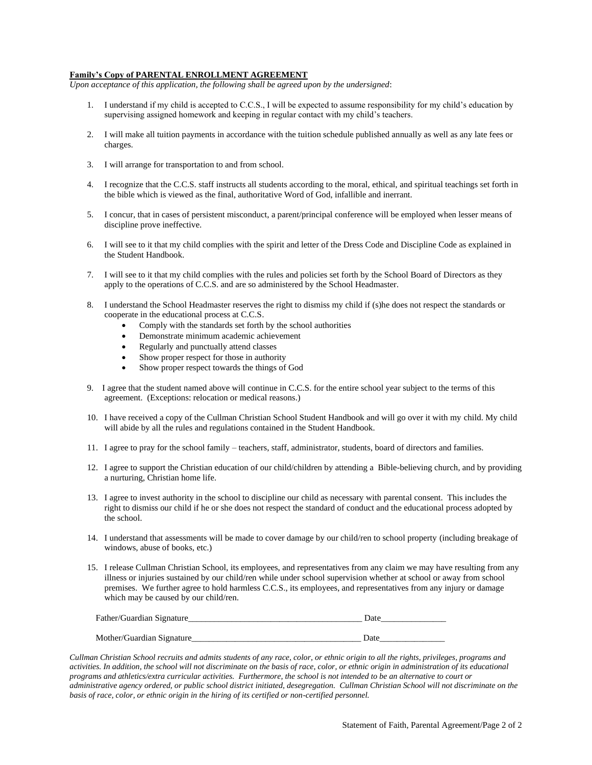#### **Family's Copy of PARENTAL ENROLLMENT AGREEMENT**

*Upon acceptance of this application, the following shall be agreed upon by the undersigned*:

- 1. I understand if my child is accepted to C.C.S., I will be expected to assume responsibility for my child's education by supervising assigned homework and keeping in regular contact with my child's teachers.
- 2. I will make all tuition payments in accordance with the tuition schedule published annually as well as any late fees or charges.
- 3. I will arrange for transportation to and from school.
- 4. I recognize that the C.C.S. staff instructs all students according to the moral, ethical, and spiritual teachings set forth in the bible which is viewed as the final, authoritative Word of God, infallible and inerrant.
- 5. I concur, that in cases of persistent misconduct, a parent/principal conference will be employed when lesser means of discipline prove ineffective.
- 6. I will see to it that my child complies with the spirit and letter of the Dress Code and Discipline Code as explained in the Student Handbook.
- 7. I will see to it that my child complies with the rules and policies set forth by the School Board of Directors as they apply to the operations of C.C.S. and are so administered by the School Headmaster.
- 8. I understand the School Headmaster reserves the right to dismiss my child if (s)he does not respect the standards or cooperate in the educational process at C.C.S.
	- Comply with the standards set forth by the school authorities
	- Demonstrate minimum academic achievement
	- Regularly and punctually attend classes
	- Show proper respect for those in authority
	- Show proper respect towards the things of God
- 9. I agree that the student named above will continue in C.C.S. for the entire school year subject to the terms of this agreement. (Exceptions: relocation or medical reasons.)
- 10. I have received a copy of the Cullman Christian School Student Handbook and will go over it with my child. My child will abide by all the rules and regulations contained in the Student Handbook.
- 11. I agree to pray for the school family teachers, staff, administrator, students, board of directors and families.
- 12. I agree to support the Christian education of our child/children by attending a Bible-believing church, and by providing a nurturing, Christian home life.
- 13. I agree to invest authority in the school to discipline our child as necessary with parental consent. This includes the right to dismiss our child if he or she does not respect the standard of conduct and the educational process adopted by the school.
- 14. I understand that assessments will be made to cover damage by our child/ren to school property (including breakage of windows, abuse of books, etc.)
- 15. I release Cullman Christian School, its employees, and representatives from any claim we may have resulting from any illness or injuries sustained by our child/ren while under school supervision whether at school or away from school premises. We further agree to hold harmless C.C.S., its employees, and representatives from any injury or damage which may be caused by our child/ren.

| Father/Guardian Signature | Date) |  |  |
|---------------------------|-------|--|--|
|                           |       |  |  |
| Mother/Guardian Signature | Date  |  |  |

*Cullman Christian School recruits and admits students of any race, color, or ethnic origin to all the rights, privileges, programs and activities. In addition, the school will not discriminate on the basis of race, color, or ethnic origin in administration of its educational programs and athletics/extra curricular activities. Furthermore, the school is not intended to be an alternative to court or administrative agency ordered, or public school district initiated, desegregation. Cullman Christian School will not discriminate on the basis of race, color, or ethnic origin in the hiring of its certified or non-certified personnel.*